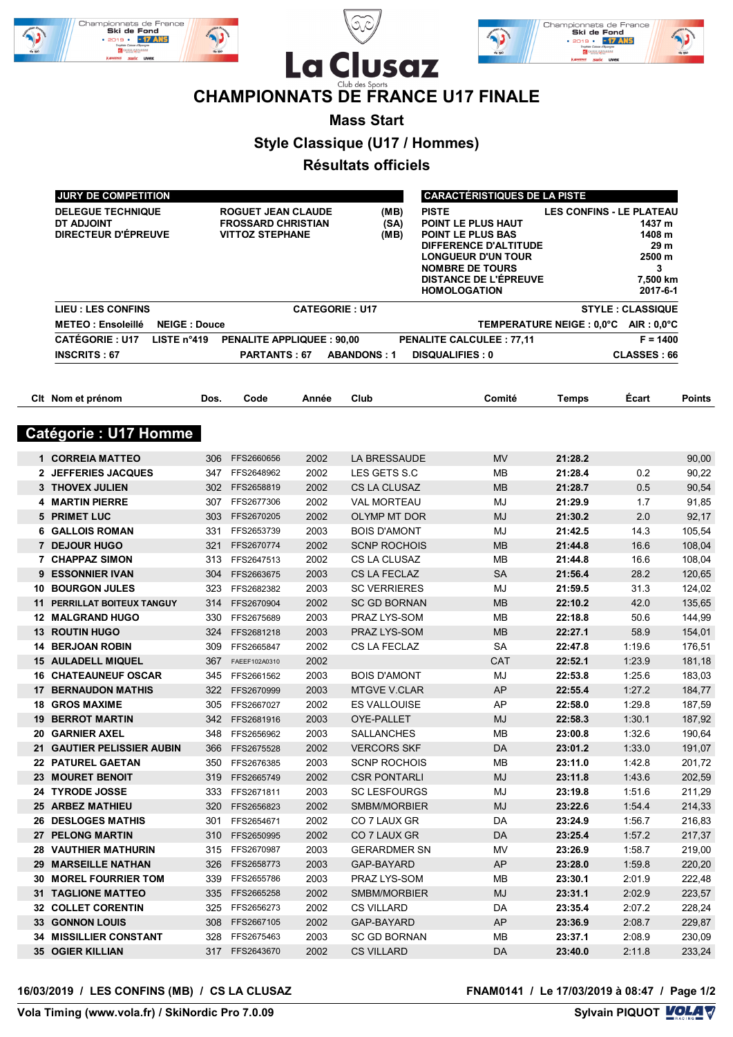





## **CHAMPIONNATS DE FRANCE U17 FINALE**

**Mass Start**

**Style Classique (U17 / Hommes)**

**Résultats officiels**

| JURY DE COMPETITION                                           |                     | <b>CARACTÉRISTIQUES DE LA PISTE</b>                                       |       |                       |                                                                                                                                                                                                |                                       |                                                                 |               |  |
|---------------------------------------------------------------|---------------------|---------------------------------------------------------------------------|-------|-----------------------|------------------------------------------------------------------------------------------------------------------------------------------------------------------------------------------------|---------------------------------------|-----------------------------------------------------------------|---------------|--|
| <b>DELEGUE TECHNIQUE</b><br>DT ADJOINT<br>DIRECTEUR D'ÉPREUVE |                     | ROGUET JEAN CLAUDE<br><b>FROSSARD CHRISTIAN</b><br><b>VITTOZ STEPHANE</b> |       | (MB)<br>(SA)<br>(MB)  | <b>PISTE</b><br>POINT LE PLUS HAUT<br>POINT LE PLUS BAS<br>DIFFERENCE D'ALTITUDE<br><b>LONGUEUR D'UN TOUR</b><br><b>NOMBRE DE TOURS</b><br><b>DISTANCE DE L'ÉPREUVE</b><br><b>HOMOLOGATION</b> | <b>LES CONFINS - LE PLATEAU</b>       | 1437 m<br>1408 m<br>29 m<br>2500 m<br>3<br>7,500 km<br>2017-6-1 |               |  |
| <b>LIEU: LES CONFINS</b>                                      |                     |                                                                           |       | <b>CATEGORIE: U17</b> |                                                                                                                                                                                                |                                       | <b>STYLE: CLASSIQUE</b>                                         |               |  |
| <b>METEO: Ensoleillé</b>                                      | <b>NEIGE: Douce</b> |                                                                           |       |                       |                                                                                                                                                                                                | TEMPERATURE NEIGE : 0,0°C AIR : 0,0°C |                                                                 |               |  |
| <b>CATÉGORIE: U17</b>                                         | LISTE n°419         | <b>PENALITE APPLIQUEE: 90,00</b>                                          |       |                       | <b>PENALITE CALCULEE: 77,11</b>                                                                                                                                                                |                                       | $F = 1400$                                                      |               |  |
| <b>INSCRITS: 67</b>                                           |                     | PARTANTS: 67                                                              |       | <b>ABANDONS: 1</b>    | <b>DISQUALIFIES: 0</b>                                                                                                                                                                         |                                       | <b>CLASSES: 66</b>                                              |               |  |
|                                                               |                     |                                                                           |       |                       |                                                                                                                                                                                                |                                       |                                                                 |               |  |
| Cit Nom et prénom                                             | Dos.                | Code                                                                      | Année | Club                  | Comité                                                                                                                                                                                         | Temps                                 | Ecart                                                           | <b>Points</b> |  |
| <b>Catégorie : U17 Homme</b>                                  |                     |                                                                           |       |                       |                                                                                                                                                                                                |                                       |                                                                 |               |  |
| 1 CORREIA MATTEO                                              | 306                 | FFS2660656                                                                | 2002  | LA BRESSAUDE          | <b>MV</b>                                                                                                                                                                                      | 21:28.2                               |                                                                 | 90,00         |  |
| 2 JEFFERIES JACQUES                                           | 347                 | FFS2648962                                                                | 2002  | LES GETS S.C          | MB                                                                                                                                                                                             | 21:28.4                               | 0.2                                                             | 90,22         |  |
| 3 THOVEX JULIEN                                               |                     | 302 FFS2658819                                                            | 2002  | <b>CS LA CLUSAZ</b>   | <b>MB</b>                                                                                                                                                                                      | 21:28.7                               | 0.5                                                             | 90,54         |  |
| <b>4 MARTIN PIERRE</b>                                        | 307                 | FFS2677306                                                                | 2002  | <b>VAL MORTEAU</b>    | MJ                                                                                                                                                                                             | 21:29.9                               | 1.7                                                             | 91,85         |  |
| 5 PRIMET LUC                                                  |                     | 303 FFS2670205                                                            | 2002  | OLYMP MT DOR          | <b>MJ</b>                                                                                                                                                                                      | 21:30.2                               | 2.0                                                             | 92,17         |  |
| <b>6 GALLOIS ROMAN</b>                                        | 331                 | FFS2653739                                                                | 2003  | <b>BOIS D'AMONT</b>   | MJ                                                                                                                                                                                             | 21:42.5                               | 14.3                                                            | 105,54        |  |
| 7 DEJOUR HUGO                                                 | 321                 | FFS2670774                                                                | 2002  | <b>SCNP ROCHOIS</b>   | <b>MB</b>                                                                                                                                                                                      | 21:44.8                               | 16.6                                                            | 108,04        |  |
| 7 CHAPPAZ SIMON                                               |                     | 313 FFS2647513                                                            | 2002  | <b>CS LA CLUSAZ</b>   | MB                                                                                                                                                                                             | 21:44.8                               | 16.6                                                            | 108,04        |  |
| 9 ESSONNIER IVAN                                              |                     | 304 FFS2663675                                                            | 2003  | <b>CS LA FECLAZ</b>   | <b>SA</b>                                                                                                                                                                                      | 21:56.4                               | 28.2                                                            | 120,65        |  |
| <b>10 BOURGON JULES</b>                                       |                     | 323 FFS2682382                                                            | 2003  | <b>SC VERRIERES</b>   | MJ                                                                                                                                                                                             | 21:59.5                               | 31.3                                                            | 124,02        |  |
| <b>11 PERRILLAT BOITEUX TANGUY</b>                            | 314                 | FFS2670904                                                                | 2002  | <b>SC GD BORNAN</b>   | <b>MB</b>                                                                                                                                                                                      | 22:10.2                               | 42.0                                                            | 135,65        |  |
| <b>12 MALGRAND HUGO</b>                                       | 330                 | FFS2675689                                                                | 2003  | PRAZ LYS-SOM          | MB                                                                                                                                                                                             | 22:18.8                               | 50.6                                                            | 144,99        |  |
| <b>13 ROUTIN HUGO</b>                                         | 324                 | FFS2681218                                                                | 2003  | PRAZ LYS-SOM          | <b>MB</b>                                                                                                                                                                                      | 22:27.1                               | 58.9                                                            | 154,01        |  |
| <b>14 BERJOAN ROBIN</b>                                       | 309                 | FFS2665847                                                                | 2002  | CS LA FECLAZ          | <b>SA</b>                                                                                                                                                                                      | 22:47.8                               | 1:19.6                                                          | 176,51        |  |
| <b>15 AULADELL MIQUEL</b>                                     | 367                 | FAEEF102A0310                                                             | 2002  |                       | <b>CAT</b>                                                                                                                                                                                     | 22:52.1                               | 1:23.9                                                          | 181,18        |  |
| <b>16 CHATEAUNEUF OSCAR</b>                                   | 345                 | FFS2661562                                                                | 2003  | <b>BOIS D'AMONT</b>   | MJ                                                                                                                                                                                             | 22:53.8                               | 1:25.6                                                          | 183,03        |  |
| <b>17 BERNAUDON MATHIS</b>                                    |                     | 322 FFS2670999                                                            | 2003  | <b>MTGVE V.CLAR</b>   | AP                                                                                                                                                                                             | 22:55.4                               | 1:27.2                                                          | 184,77        |  |
| <b>18 GROS MAXIME</b>                                         |                     | 305 FFS2667027                                                            | 2002  | ES VALLOUISE          | AP                                                                                                                                                                                             | 22:58.0                               | 1:29.8                                                          | 187,59        |  |
| <b>19 BERROT MARTIN</b>                                       |                     | 342 FFS2681916                                                            | 2003  | OYE-PALLET            | <b>MJ</b>                                                                                                                                                                                      | 22:58.3                               | 1:30.1                                                          | 187,92        |  |
| <b>20 GARNIER AXEL</b>                                        |                     | 348 FFS2656962                                                            | 2003  | SALLANCHES            | MB                                                                                                                                                                                             | 23:00.8                               | 1:32.6                                                          | 190,64        |  |
| 21 GAUTIER PELISSIER AUBIN                                    |                     | 366 FFS2675528                                                            | 2002  | <b>VERCORS SKF</b>    | DA                                                                                                                                                                                             | 23:01.2                               | 1:33.0                                                          | 191,07        |  |
| 22 PATUREL GAETAN                                             |                     | 350 FFS2676385                                                            | 2003  | <b>SCNP ROCHOIS</b>   | MВ                                                                                                                                                                                             | 23:11.0                               | 1:42.8                                                          | 201,72        |  |
| <b>23 MOURET BENOIT</b>                                       |                     | 319 FFS2665749                                                            | 2002  | <b>CSR PONTARLI</b>   | MJ                                                                                                                                                                                             | 23:11.8                               | 1:43.6                                                          | 202,59        |  |
| 24 TYRODE JOSSE                                               |                     | 333 FFS2671811                                                            | 2003  | <b>SC LESFOURGS</b>   | MJ                                                                                                                                                                                             | 23:19.8                               | 1:51.6                                                          | 211,29        |  |
| 25 ARBEZ MATHIEU                                              |                     | 320 FFS2656823                                                            | 2002  | SMBM/MORBIER          | MJ                                                                                                                                                                                             | 23:22.6                               | 1:54.4                                                          | 214,33        |  |
| 26 DESLOGES MATHIS                                            |                     | 301 FFS2654671                                                            | 2002  | CO 7 LAUX GR          | DA                                                                                                                                                                                             | 23:24.9                               | 1:56.7                                                          | 216,83        |  |
| 27 PELONG MARTIN                                              |                     | 310 FFS2650995                                                            | 2002  | CO 7 LAUX GR          | DA                                                                                                                                                                                             | 23:25.4                               | 1:57.2                                                          | 217,37        |  |
| <b>28 VAUTHIER MATHURIN</b>                                   |                     | 315 FFS2670987                                                            | 2003  | <b>GERARDMER SN</b>   | MV                                                                                                                                                                                             | 23:26.9                               | 1:58.7                                                          | 219,00        |  |
| 29 MARSEILLE NATHAN                                           |                     | 326 FFS2658773                                                            | 2003  | GAP-BAYARD            | <b>AP</b>                                                                                                                                                                                      | 23:28.0                               | 1:59.8                                                          | 220,20        |  |
| <b>30 MOREL FOURRIER TOM</b>                                  |                     | 339 FFS2655786                                                            | 2003  | PRAZ LYS-SOM          | MВ                                                                                                                                                                                             | 23:30.1                               | 2:01.9                                                          | 222,48        |  |
| <b>31 TAGLIONE MATTEO</b>                                     |                     | 335 FFS2665258                                                            | 2002  | SMBM/MORBIER          | MJ                                                                                                                                                                                             | 23:31.1                               | 2:02.9                                                          | 223,57        |  |
| <b>32 COLLET CORENTIN</b>                                     |                     | 325 FFS2656273                                                            | 2002  | <b>CS VILLARD</b>     | DA                                                                                                                                                                                             | 23:35.4                               | 2:07.2                                                          | 228,24        |  |
| 33 GONNON LOUIS                                               |                     | 308 FFS2667105                                                            | 2002  | GAP-BAYARD            | AP                                                                                                                                                                                             | 23:36.9                               | 2:08.7                                                          | 229,87        |  |
| 34 MISSILLIER CONSTANT                                        |                     | 328 FFS2675463                                                            | 2003  | <b>SC GD BORNAN</b>   | MВ                                                                                                                                                                                             | 23:37.1                               | 2:08.9                                                          | 230,09        |  |
| <b>35 OGIER KILLIAN</b>                                       |                     | 317 FFS2643670                                                            | 2002  | <b>CS VILLARD</b>     | DA                                                                                                                                                                                             | 23:40.0                               | 2:11.8                                                          | 233,24        |  |